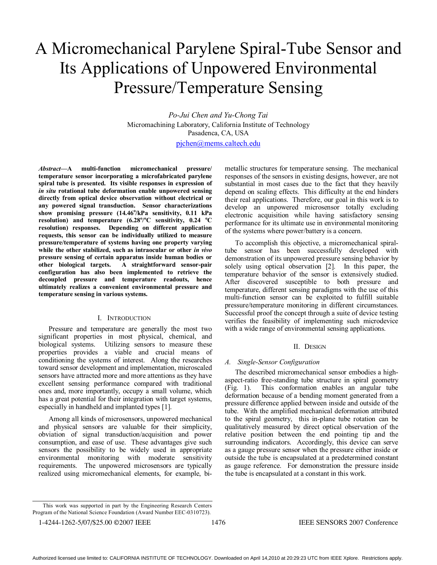# A Micromechanical Parylene Spiral-Tube Sensor and Its Applications of Unpowered Environmental Pressure/Temperature Sensing

*Po-Jui Chen and Yu-Chong Tai* Micromachining Laboratory, California Institute of Technology Pasadenca, CA, USA

pjchen@mems.caltech.edu

*Abstract***—A multi-function micromechanical pressure/ temperature sensor incorporating a microfabricated parylene spiral tube is presented. Its visible responses in expression of**  *in situ* **rotational tube deformation enable unpowered sensing directly from optical device observation without electrical or any powered signal transduction. Sensor characterizations**  show promising pressure (14.46°/kPa sensitivity, 0.11 kPa resolution) and temperature (6.28°/°C sensitivity, 0.24 °C **resolution) responses. Depending on different application requests, this sensor can be individually utilized to measure pressure/temperature of systems having one property varying while the other stabilized, such as intraocular or other** *in vivo* **pressure sensing of certain apparatus inside human bodies or other biological targets. A straightforward sensor-pair configuration has also been implemented to retrieve the decoupled pressure and temperature readouts, hence ultimately realizes a convenient environmental pressure and temperature sensing in various systems.** 

## I. INTRODUCTION

Pressure and temperature are generally the most two significant properties in most physical, chemical, and biological systems. Utilizing sensors to measure these properties provides a viable and crucial means of conditioning the systems of interest. Along the researches toward sensor development and implementation, microscaled sensors have attracted more and more attentions as they have excellent sensing performance compared with traditional ones and, more importantly, occupy a small volume, which has a great potential for their integration with target systems, especially in handheld and implanted types [1].

Among all kinds of microsensors, unpowered mechanical and physical sensors are valuable for their simplicity, obviation of signal transduction/acquisition and power consumption, and ease of use. These advantages give such sensors the possibility to be widely used in appropriate environmental monitoring with moderate sensitivity requirements. The unpowered microsensors are typically realized using micromechanical elements, for example, bimetallic structures for temperature sensing. The mechanical responses of the sensors in existing designs, however, are not substantial in most cases due to the fact that they heavily depend on scaling effects. This difficulty at the end hinders their real applications. Therefore, our goal in this work is to develop an unpowered microsensor totally excluding electronic acquisition while having satisfactory sensing performance for its ultimate use in environmental monitoring of the systems where power/battery is a concern.

To accomplish this objective, a micromechanical spiraltube sensor has been successfully developed with demonstration of its unpowered pressure sensing behavior by solely using optical observation [2]. In this paper, the temperature behavior of the sensor is extensively studied. After discovered susceptible to both pressure and temperature, different sensing paradigms with the use of this multi-function sensor can be exploited to fulfill suitable pressure/temperature monitoring in different circumstances. Successful proof the concept through a suite of device testing verifies the feasibility of implementing such microdevice with a wide range of environmental sensing applications.

# II. DESIGN

# *A. Single-Sensor Configuration*

The described micromechanical sensor embodies a highaspect-ratio free-standing tube structure in spiral geometry (Fig. 1). This conformation enables an angular tube deformation because of a bending moment generated from a pressure difference applied between inside and outside of the tube. With the amplified mechanical deformation attributed to the spiral geometry, this in-plane tube rotation can be qualitatively measured by direct optical observation of the relative position between the end pointing tip and the surrounding indicators. Accordingly, this device can serve as a gauge pressure sensor when the pressure either inside or outside the tube is encapsulated at a predetermined constant as gauge reference. For demonstration the pressure inside the tube is encapsulated at a constant in this work.

This work was supported in part by the Engineering Research Centers Program of the National Science Foundation (Award Number EEC-0310723).

1-4244-1262-5/07/\$25.00 ©2007 IEEE 1476 1476 IEEE SENSORS 2007 Conference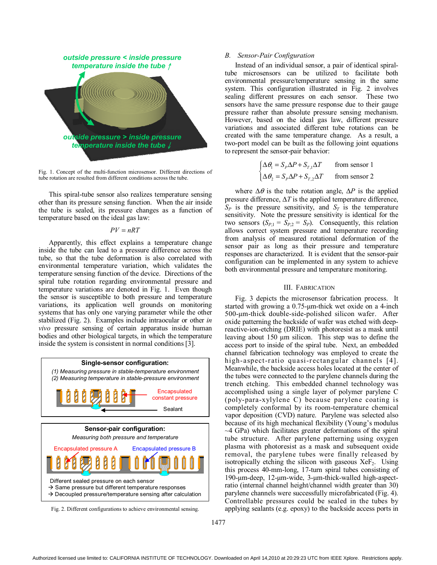

Fig. 1. Concept of the multi-function microsensor. Different directions of tube rotation are resulted from different conditions across the tube.

This spiral-tube sensor also realizes temperature sensing other than its pressure sensing function. When the air inside the tube is sealed, its pressure changes as a function of temperature based on the ideal gas law:

## $PV = nRT$

Apparently, this effect explains a temperature change inside the tube can lead to a pressure difference across the tube, so that the tube deformation is also correlated with environmental temperature variation, which validates the temperature sensing function of the device. Directions of the spiral tube rotation regarding environmental pressure and temperature variations are denoted in Fig. 1. Even though the sensor is susceptible to both pressure and temperature variations, its application well grounds on monitoring systems that has only one varying parameter while the other stabilized (Fig. 2). Examples include intraocular or other *in vivo* pressure sensing of certain apparatus inside human bodies and other biological targets, in which the temperature inside the system is consistent in normal conditions [3].



Fig. 2. Different configurations to achieve environmental sensing.

### *B. Sensor-Pair Configuration*

Instead of an individual sensor, a pair of identical spiraltube microsensors can be utilized to facilitate both environmental pressure/temperature sensing in the same system. This configuration illustrated in Fig. 2 involves sealing different pressures on each sensor. These two sensors have the same pressure response due to their gauge pressure rather than absolute pressure sensing mechanism. However, based on the ideal gas law, different pressure variations and associated different tube rotations can be created with the same temperature change. As a result, a two-port model can be built as the following joint equations to represent the sensor-pair behavior:

$$
\begin{cases} \Delta \theta_1 = S_P \Delta P + S_{T,1} \Delta T & \text{from sensor 1} \\ \Delta \theta_2 = S_P \Delta P + S_{T,2} \Delta T & \text{from sensor 2} \end{cases}
$$

where  $\Delta\theta$  is the tube rotation angle,  $\Delta P$  is the applied pressure difference,  $\Delta T$  is the applied temperature difference,  $S_P$  is the pressure sensitivity, and  $S_T$  is the temperature sensitivity. Note the pressure sensitivity is identical for the two sensors  $(S_{P,1} = S_{P,2} = S_P)$ . Consequently, this relation allows correct system pressure and temperature recording from analysis of measured rotational deformation of the sensor pair as long as their pressure and temperature responses are characterized. It is evident that the sensor-pair configuration can be implemented in any system to achieve both environmental pressure and temperature monitoring.

#### III. FABRICATION

Fig. 3 depicts the microsensor fabrication process. It started with growing a 0.75-µm-thick wet oxide on a 4-inch 500-µm-thick double-side-polished silicon wafer. After oxide patterning the backside of wafer was etched with deepreactive-ion-etching (DRIE) with photoresist as a mask until leaving about 150 µm silicon. This step was to define the access port to inside of the spiral tube. Next, an embedded channel fabrication technology was employed to create the high-aspect-ratio quasi-rectangular channels [4]. Meanwhile, the backside access holes located at the center of the tubes were connected to the parylene channels during the trench etching. This embedded channel technology was accomplished using a single layer of polymer parylene C (poly-para-xylylene C) because parylene coating is completely conformal by its room-temperature chemical vapor deposition (CVD) nature. Parylene was selected also because of its high mechanical flexibility (Young's modulus  $\sim$ 4 GPa) which facilitates greater deformations of the spiral tube structure. After parylene patterning using oxygen plasma with photoresist as a mask and subsequent oxide removal, the parylene tubes were finally released by isotropically etching the silicon with gaseous  $XeF_2$ . Using this process 40-mm-long, 17-turn spiral tubes consisting of 190-µm-deep, 12-µm-wide, 3-µm-thick-walled high-aspectratio (internal channel height/channel width greater than 30) parylene channels were successfully microfabricated (Fig. 4). Controllable pressures could be sealed in the tubes by applying sealants (e.g. epoxy) to the backside access ports in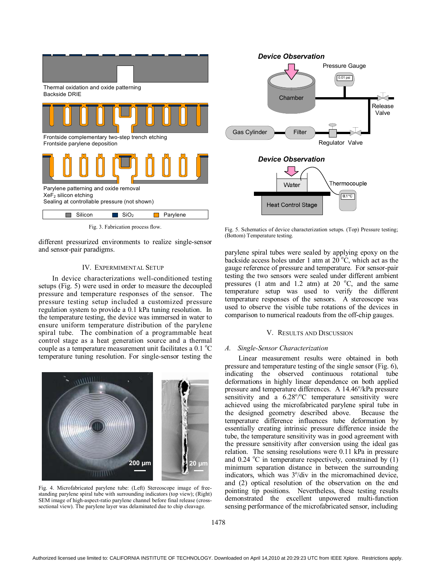

Fig. 3. Fabrication process flow.

different pressurized environments to realize single-sensor and sensor-pair paradigms.

# IV. EXPERMIMENTAL SETUP

In device characterizations well-conditioned testing setups (Fig. 5) were used in order to measure the decoupled pressure and temperature responses of the sensor. The pressure testing setup included a customized pressure regulation system to provide a 0.1 kPa tuning resolution. In the temperature testing, the device was immersed in water to ensure uniform temperature distribution of the parylene spiral tube. The combination of a programmable heat control stage as a heat generation source and a thermal couple as a temperature measurement unit facilitates a  $0.1 \text{ }^{\circ}\text{C}$ temperature tuning resolution. For single-sensor testing the



Fig. 4. Microfabricated parylene tube: (Left) Stereoscope image of freestanding parylene spiral tube with surrounding indicators (top view); (Right) SEM image of high-aspect-ratio parylene channel before final release (crosssectional view). The parylene layer was delaminated due to chip cleavage.



Fig. 5. Schematics of device characterization setups. (Top) Pressure testing; (Bottom) Temperature testing.

parylene spiral tubes were sealed by applying epoxy on the backside access holes under 1 atm at  $20^{\circ}$ C, which act as the gauge reference of pressure and temperature. For sensor-pair testing the two sensors were sealed under different ambient pressures (1 atm and 1.2 atm) at 20  $^{\circ}$ C, and the same temperature setup was used to verify the different temperature responses of the sensors. A stereoscope was used to observe the visible tube rotations of the devices in comparison to numerical readouts from the off-chip gauges.

#### V. RESULTS AND DISCUSSION

# *A. Single-Sensor Characterization*

Linear measurement results were obtained in both pressure and temperature testing of the single sensor (Fig. 6), indicating the observed continuous rotational tube deformations in highly linear dependence on both applied pressure and temperature differences. A 14.46°/kPa pressure sensitivity and a  $6.28^{\circ}$  temperature sensitivity were achieved using the microfabricated parylene spiral tube in the designed geometry described above. Because the temperature difference influences tube deformation by essentially creating intrinsic pressure difference inside the tube, the temperature sensitivity was in good agreement with the pressure sensitivity after conversion using the ideal gas relation. The sensing resolutions were 0.11 kPa in pressure and  $0.24$  °C in temperature respectively, constrained by  $(1)$ minimum separation distance in between the surrounding indicators, which was  $3^{\circ}/$ div in the micromachined device, and (2) optical resolution of the observation on the end pointing tip positions. Nevertheless, these testing results demonstrated the excellent unpowered multi-function sensing performance of the microfabricated sensor, including